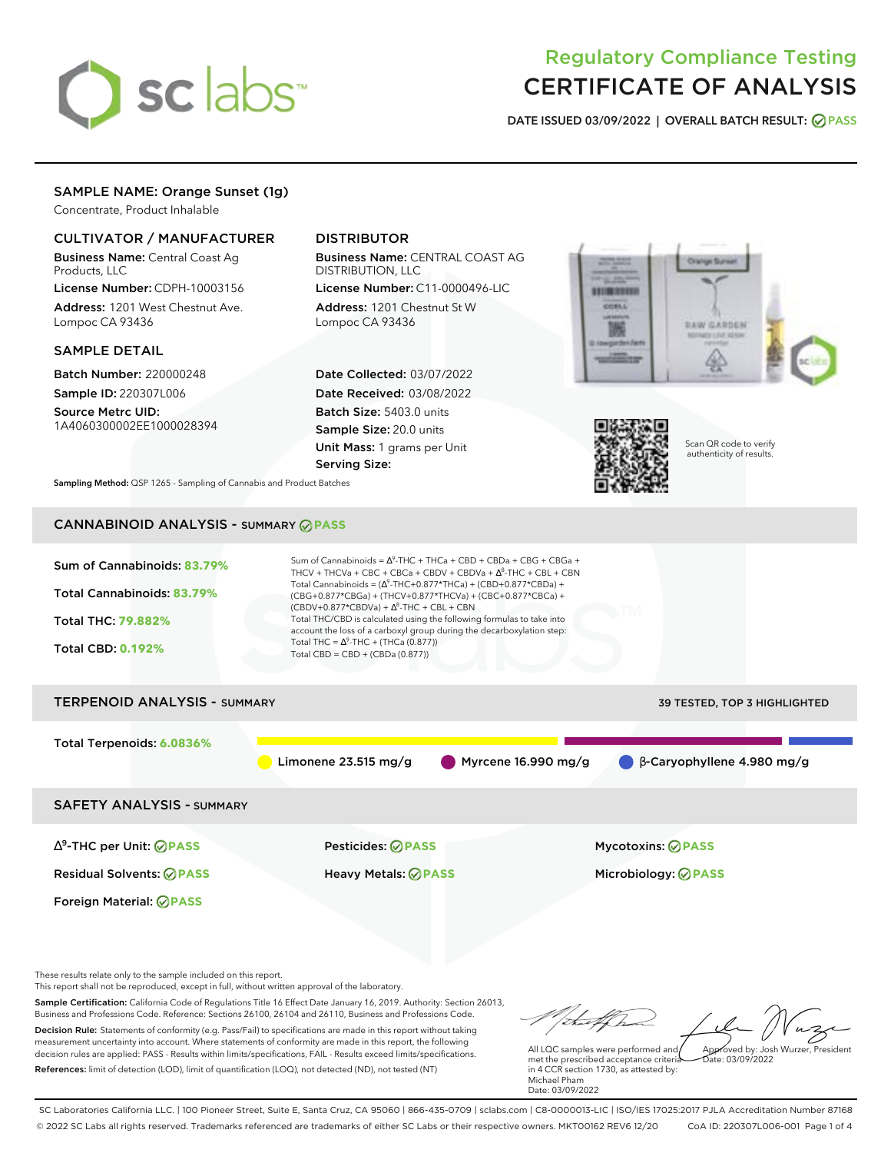

# Regulatory Compliance Testing CERTIFICATE OF ANALYSIS

**DATE ISSUED 03/09/2022 | OVERALL BATCH RESULT: PASS**

## SAMPLE NAME: Orange Sunset (1g)

Concentrate, Product Inhalable

#### CULTIVATOR / MANUFACTURER

Business Name: Central Coast Ag Products, LLC

License Number: CDPH-10003156 Address: 1201 West Chestnut Ave. Lompoc CA 93436

#### SAMPLE DETAIL

Batch Number: 220000248 Sample ID: 220307L006

Source Metrc UID: 1A4060300002EE1000028394

## DISTRIBUTOR

Business Name: CENTRAL COAST AG DISTRIBUTION, LLC

License Number: C11-0000496-LIC Address: 1201 Chestnut St W Lompoc CA 93436

Date Collected: 03/07/2022 Date Received: 03/08/2022 Batch Size: 5403.0 units Sample Size: 20.0 units Unit Mass: 1 grams per Unit Serving Size:





Scan QR code to verify authenticity of results.

**Sampling Method:** QSP 1265 - Sampling of Cannabis and Product Batches

## CANNABINOID ANALYSIS - SUMMARY **PASS**



This report shall not be reproduced, except in full, without written approval of the laboratory.

Sample Certification: California Code of Regulations Title 16 Effect Date January 16, 2019. Authority: Section 26013, Business and Professions Code. Reference: Sections 26100, 26104 and 26110, Business and Professions Code. Decision Rule: Statements of conformity (e.g. Pass/Fail) to specifications are made in this report without taking measurement uncertainty into account. Where statements of conformity are made in this report, the following decision rules are applied: PASS - Results within limits/specifications, FAIL - Results exceed limits/specifications.

References: limit of detection (LOD), limit of quantification (LOQ), not detected (ND), not tested (NT)

tal f h Approved by: Josh Wurzer, President

 $\frac{1}{2}$ ate: 03/09/2022

All LQC samples were performed and met the prescribed acceptance criteria in 4 CCR section 1730, as attested by: Michael Pham Date: 03/09/2022

SC Laboratories California LLC. | 100 Pioneer Street, Suite E, Santa Cruz, CA 95060 | 866-435-0709 | sclabs.com | C8-0000013-LIC | ISO/IES 17025:2017 PJLA Accreditation Number 87168 © 2022 SC Labs all rights reserved. Trademarks referenced are trademarks of either SC Labs or their respective owners. MKT00162 REV6 12/20 CoA ID: 220307L006-001 Page 1 of 4